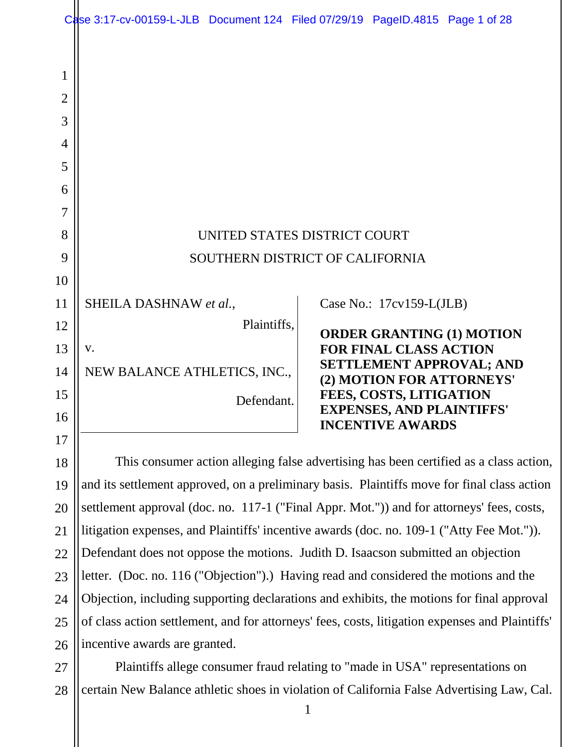|                                              | Case 3:17-cv-00159-L-JLB Document 124 Filed 07/29/19 PageID.4815 Page 1 of 28                                                                                                        |             |  |                                                             |                                  |
|----------------------------------------------|--------------------------------------------------------------------------------------------------------------------------------------------------------------------------------------|-------------|--|-------------------------------------------------------------|----------------------------------|
| 1<br>$\overline{2}$<br>3<br>4<br>5<br>6<br>7 |                                                                                                                                                                                      |             |  |                                                             |                                  |
| 8                                            | UNITED STATES DISTRICT COURT                                                                                                                                                         |             |  |                                                             |                                  |
| 9                                            | SOUTHERN DISTRICT OF CALIFORNIA                                                                                                                                                      |             |  |                                                             |                                  |
| 10                                           |                                                                                                                                                                                      |             |  |                                                             |                                  |
| 11                                           | SHEILA DASHNAW et al.,                                                                                                                                                               |             |  | Case No.: $17cv159-L(JLB)$                                  |                                  |
| 12                                           |                                                                                                                                                                                      | Plaintiffs, |  |                                                             | <b>ORDER GRANTING (1) MOTION</b> |
| 13                                           | V.                                                                                                                                                                                   |             |  | <b>FOR FINAL CLASS ACTION</b>                               | <b>SETTLEMENT APPROVAL; AND</b>  |
| 14                                           | NEW BALANCE ATHLETICS, INC.,                                                                                                                                                         |             |  | (2) MOTION FOR ATTORNEYS'                                   |                                  |
| 15                                           |                                                                                                                                                                                      | Defendant.  |  | FEES, COSTS, LITIGATION<br><b>EXPENSES, AND PLAINTIFFS'</b> |                                  |
| 16<br>17                                     |                                                                                                                                                                                      |             |  | <b>INCENTIVE AWARDS</b>                                     |                                  |
| 18                                           |                                                                                                                                                                                      |             |  |                                                             |                                  |
| 19                                           | This consumer action alleging false advertising has been certified as a class action,<br>and its settlement approved, on a preliminary basis. Plaintiffs move for final class action |             |  |                                                             |                                  |
| 20                                           | settlement approval (doc. no. 117-1 ("Final Appr. Mot.")) and for attorneys' fees, costs,                                                                                            |             |  |                                                             |                                  |
| 21                                           | litigation expenses, and Plaintiffs' incentive awards (doc. no. 109-1 ("Atty Fee Mot.")).                                                                                            |             |  |                                                             |                                  |

22 23 24 25 26 Defendant does not oppose the motions. Judith D. Isaacson submitted an objection letter. (Doc. no. 116 ("Objection").) Having read and considered the motions and the Objection, including supporting declarations and exhibits, the motions for final approval of class action settlement, and for attorneys' fees, costs, litigation expenses and Plaintiffs' incentive awards are granted.

27 28 Plaintiffs allege consumer fraud relating to "made in USA" representations on certain New Balance athletic shoes in violation of California False Advertising Law, Cal.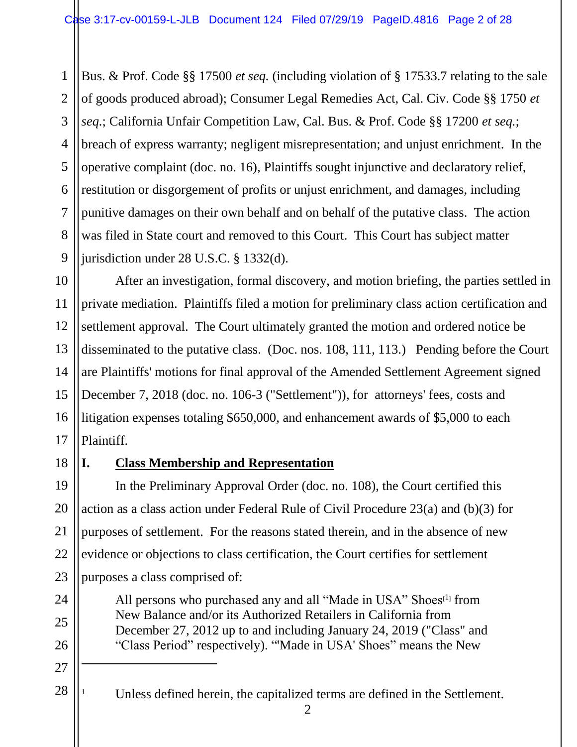1 2 3 4 5 6 7 8 9 Bus. & Prof. Code §§ 17500 *et seq.* (including violation of § 17533.7 relating to the sale of goods produced abroad); Consumer Legal Remedies Act, Cal. Civ. Code §§ 1750 *et seq.*; California Unfair Competition Law, Cal. Bus. & Prof. Code §§ 17200 *et seq.*; breach of express warranty; negligent misrepresentation; and unjust enrichment. In the operative complaint (doc. no. 16), Plaintiffs sought injunctive and declaratory relief, restitution or disgorgement of profits or unjust enrichment, and damages, including punitive damages on their own behalf and on behalf of the putative class. The action was filed in State court and removed to this Court. This Court has subject matter jurisdiction under 28 U.S.C. § 1332(d).

10 11 12 13 14 15 16 17 After an investigation, formal discovery, and motion briefing, the parties settled in private mediation. Plaintiffs filed a motion for preliminary class action certification and settlement approval. The Court ultimately granted the motion and ordered notice be disseminated to the putative class. (Doc. nos. 108, 111, 113.) Pending before the Court are Plaintiffs' motions for final approval of the Amended Settlement Agreement signed December 7, 2018 (doc. no. 106-3 ("Settlement")), for attorneys' fees, costs and litigation expenses totaling \$650,000, and enhancement awards of \$5,000 to each Plaintiff.

18

24

25

26

27

 $\overline{a}$ 

28

## **I. Class Membership and Representation**

19 20 21 22 23 In the Preliminary Approval Order (doc. no. 108), the Court certified this action as a class action under Federal Rule of Civil Procedure 23(a) and (b)(3) for purposes of settlement. For the reasons stated therein, and in the absence of new evidence or objections to class certification, the Court certifies for settlement purposes a class comprised of:

> All persons who purchased any and all "Made in USA" Shoes $[1]$  from New Balance and/or its Authorized Retailers in California from December 27, 2012 up to and including January 24, 2019 ("Class" and "Class Period" respectively). "'Made in USA' Shoes" means the New

- <sup>1</sup> Unless defined herein, the capitalized terms are defined in the Settlement.
	- 2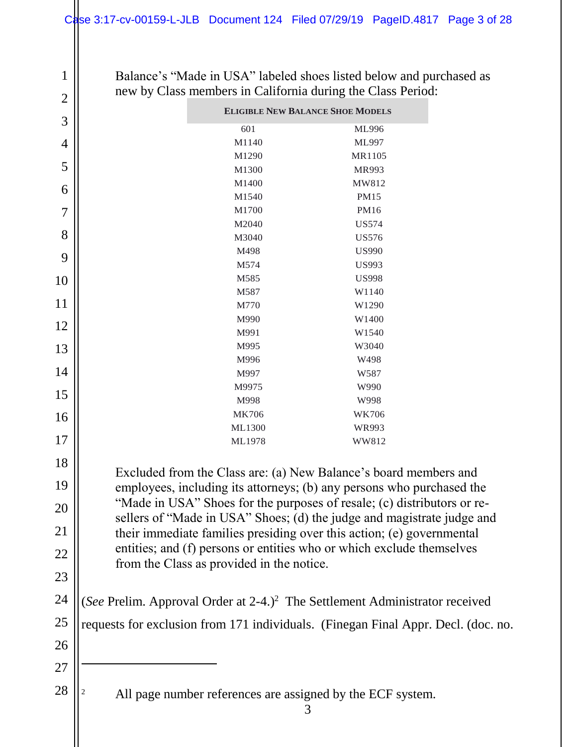Balance's "Made in USA" labeled shoes listed below and purchased as new by Class members in California during the Class Period:

1

9

10

11

12

13

14

15

16

17

18

19

20

21

22

23

24

25

26

27

| $\overline{2}$ | new by Class members in California during the Class Period:                                                                                       |                                                                  |  |  |  |  |
|----------------|---------------------------------------------------------------------------------------------------------------------------------------------------|------------------------------------------------------------------|--|--|--|--|
|                | <b>ELIGIBLE NEW BALANCE SHOE MODELS</b>                                                                                                           |                                                                  |  |  |  |  |
| 3              | 601                                                                                                                                               | ML996                                                            |  |  |  |  |
| 4              | M1140                                                                                                                                             | ML997                                                            |  |  |  |  |
|                | M1290                                                                                                                                             | MR1105                                                           |  |  |  |  |
| 5              | M1300                                                                                                                                             | MR993                                                            |  |  |  |  |
| 6              | M1400                                                                                                                                             | MW812                                                            |  |  |  |  |
|                | M1540                                                                                                                                             | <b>PM15</b>                                                      |  |  |  |  |
| 7              | M1700                                                                                                                                             | PM16                                                             |  |  |  |  |
| 8              | M2040                                                                                                                                             | <b>US574</b>                                                     |  |  |  |  |
|                | M3040                                                                                                                                             | <b>US576</b>                                                     |  |  |  |  |
| 9              | M498                                                                                                                                              | <b>US990</b>                                                     |  |  |  |  |
|                | M574                                                                                                                                              | <b>US993</b>                                                     |  |  |  |  |
| $\overline{0}$ | M585                                                                                                                                              | <b>US998</b>                                                     |  |  |  |  |
| $\lfloor 1$    | M587<br>M770                                                                                                                                      | W1140<br>W1290                                                   |  |  |  |  |
|                | M990                                                                                                                                              | W1400                                                            |  |  |  |  |
| $\overline{2}$ | M991                                                                                                                                              | W1540                                                            |  |  |  |  |
|                | M995                                                                                                                                              | W3040                                                            |  |  |  |  |
| 3              | M996                                                                                                                                              | W498                                                             |  |  |  |  |
| $\overline{A}$ | M997                                                                                                                                              | W587                                                             |  |  |  |  |
|                | M9975                                                                                                                                             | W990                                                             |  |  |  |  |
| 5              | M998                                                                                                                                              | W998                                                             |  |  |  |  |
| 6 <sub>6</sub> | <b>MK706</b>                                                                                                                                      | <b>WK706</b>                                                     |  |  |  |  |
|                | ML1300                                                                                                                                            | WR993                                                            |  |  |  |  |
| $\sqrt{7}$     | ML1978                                                                                                                                            | WW812                                                            |  |  |  |  |
| 8              |                                                                                                                                                   |                                                                  |  |  |  |  |
| $\overline{9}$ |                                                                                                                                                   | Excluded from the Class are: (a) New Balance's board members and |  |  |  |  |
|                | employees, including its attorneys; (b) any persons who purchased the                                                                             |                                                                  |  |  |  |  |
| $20^{\circ}$   | "Made in USA" Shoes for the purposes of resale; (c) distributors or re-<br>sellers of "Made in USA" Shoes; (d) the judge and magistrate judge and |                                                                  |  |  |  |  |
|                |                                                                                                                                                   |                                                                  |  |  |  |  |
| $^{21}$        | their immediate families presiding over this action; (e) governmental                                                                             |                                                                  |  |  |  |  |
| $^{22}$        | entities; and (f) persons or entities who or which exclude themselves                                                                             |                                                                  |  |  |  |  |
|                | from the Class as provided in the notice.                                                                                                         |                                                                  |  |  |  |  |
| $^{23}$        |                                                                                                                                                   |                                                                  |  |  |  |  |
| $^{24}$        | (See Prelim. Approval Order at 2-4.) <sup>2</sup> The Settlement Administrator received                                                           |                                                                  |  |  |  |  |
| 25             |                                                                                                                                                   |                                                                  |  |  |  |  |
|                | requests for exclusion from 171 individuals. (Finegan Final Appr. Decl. (doc. no.                                                                 |                                                                  |  |  |  |  |
| 26             |                                                                                                                                                   |                                                                  |  |  |  |  |
|                |                                                                                                                                                   |                                                                  |  |  |  |  |
| 27             |                                                                                                                                                   |                                                                  |  |  |  |  |
| 28             | All page number references are assigned by the ECF system.<br>3                                                                                   |                                                                  |  |  |  |  |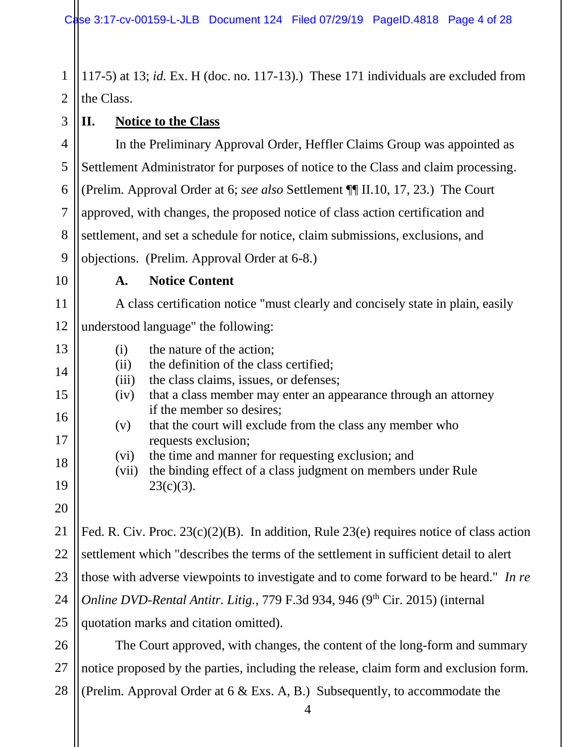1 2 117-5) at 13; *id.* Ex. H (doc. no. 117-13).) These 171 individuals are excluded from the Class.

## **II. Notice to the Class**

4 5 6 7 8 9 In the Preliminary Approval Order, Heffler Claims Group was appointed as Settlement Administrator for purposes of notice to the Class and claim processing. (Prelim. Approval Order at 6; *see also* Settlement ¶¶ II.10, 17, 23.) The Court approved, with changes, the proposed notice of class action certification and settlement, and set a schedule for notice, claim submissions, exclusions, and objections. (Prelim. Approval Order at 6-8.)

10

11

13

14

15

16

17

18

3

## **A. Notice Content**

A class certification notice "must clearly and concisely state in plain, easily

12 understood language" the following:

(i) the nature of the action;

(ii) the definition of the class certified;

- (iii) the class claims, issues, or defenses;
- (iv) that a class member may enter an appearance through an attorney if the member so desires;
- (v) that the court will exclude from the class any member who requests exclusion;

(vi) the time and manner for requesting exclusion; and

(vii) the binding effect of a class judgment on members under Rule  $23(c)(3)$ .

19 20

21 22 23 24 25 Fed. R. Civ. Proc. 23(c)(2)(B). In addition, Rule 23(e) requires notice of class action settlement which "describes the terms of the settlement in sufficient detail to alert those with adverse viewpoints to investigate and to come forward to be heard." *In re Online DVD-Rental Antitr. Litig., 779 F.3d 934, 946 (9<sup>th</sup> Cir. 2015) (internal* quotation marks and citation omitted).

26 27 28 The Court approved, with changes, the content of the long-form and summary notice proposed by the parties, including the release, claim form and exclusion form. (Prelim. Approval Order at 6 & Exs. A, B.) Subsequently, to accommodate the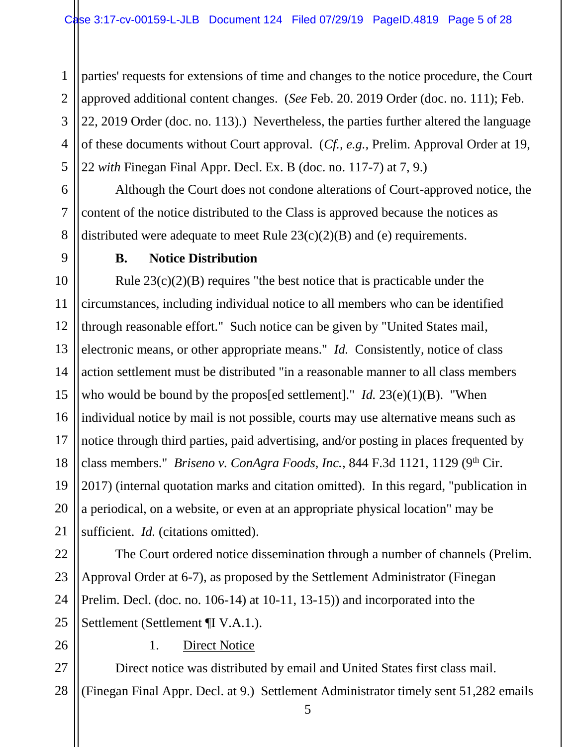1 2 3 4 5 parties' requests for extensions of time and changes to the notice procedure, the Court approved additional content changes. (*See* Feb. 20. 2019 Order (doc. no. 111); Feb. 22, 2019 Order (doc. no. 113).) Nevertheless, the parties further altered the language of these documents without Court approval. (*Cf., e.g.,* Prelim. Approval Order at 19, 22 *with* Finegan Final Appr. Decl. Ex. B (doc. no. 117-7) at 7, 9.)

Although the Court does not condone alterations of Court-approved notice, the content of the notice distributed to the Class is approved because the notices as distributed were adequate to meet Rule 23(c)(2)(B) and (e) requirements.

## **B. Notice Distribution**

10 11 12 13 14 15 16 17 18 19 20 21 Rule  $23(c)(2)(B)$  requires "the best notice that is practicable under the circumstances, including individual notice to all members who can be identified through reasonable effort." Such notice can be given by "United States mail, electronic means, or other appropriate means." *Id.* Consistently, notice of class action settlement must be distributed "in a reasonable manner to all class members who would be bound by the propos<sup>[ed settlement]." *Id.* 23(e)(1)(B). "When</sup> individual notice by mail is not possible, courts may use alternative means such as notice through third parties, paid advertising, and/or posting in places frequented by class members." *Briseno v. ConAgra Foods, Inc.*, 844 F.3d 1121, 1129 (9<sup>th</sup> Cir. 2017) (internal quotation marks and citation omitted). In this regard, "publication in a periodical, on a website, or even at an appropriate physical location" may be sufficient. *Id.* (citations omitted).

22 23 24 25 The Court ordered notice dissemination through a number of channels (Prelim. Approval Order at 6-7), as proposed by the Settlement Administrator (Finegan Prelim. Decl. (doc. no. 106-14) at 10-11, 13-15)) and incorporated into the Settlement (Settlement ¶I V.A.1.).

## 1. Direct Notice

27 28 Direct notice was distributed by email and United States first class mail. (Finegan Final Appr. Decl. at 9.) Settlement Administrator timely sent 51,282 emails

26

6

7

8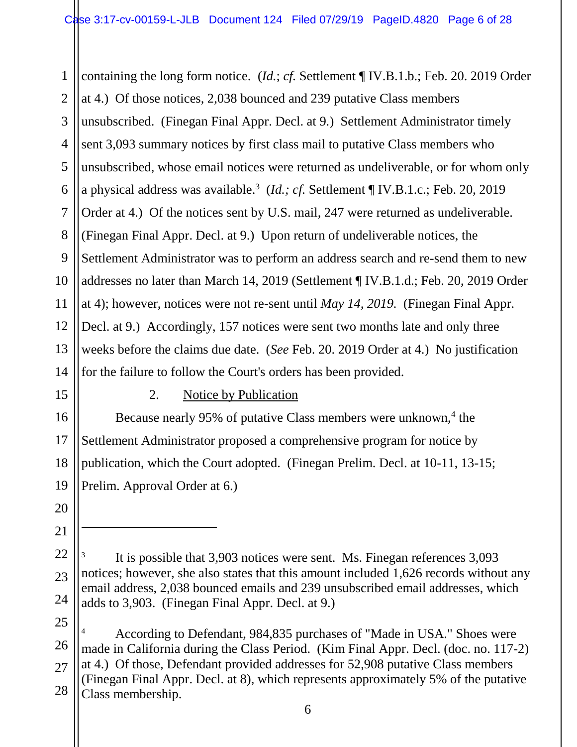1 2 3 4 5 6 7 8 9 10 11 12 13 14 containing the long form notice. (*Id.*; *cf.* Settlement ¶ IV.B.1.b.; Feb. 20. 2019 Order at 4.) Of those notices, 2,038 bounced and 239 putative Class members unsubscribed. (Finegan Final Appr. Decl. at 9*.*) Settlement Administrator timely sent 3,093 summary notices by first class mail to putative Class members who unsubscribed, whose email notices were returned as undeliverable, or for whom only a physical address was available.<sup>3</sup> (*Id.; cf.* Settlement ¶ IV.B.1.c.; Feb. 20, 2019 Order at 4.) Of the notices sent by U.S. mail, 247 were returned as undeliverable. (Finegan Final Appr. Decl. at 9.) Upon return of undeliverable notices, the Settlement Administrator was to perform an address search and re-send them to new addresses no later than March 14, 2019 (Settlement ¶ IV.B.1.d.; Feb. 20, 2019 Order at 4); however, notices were not re-sent until *May 14, 2019.* (Finegan Final Appr. Decl. at 9.) Accordingly, 157 notices were sent two months late and only three weeks before the claims due date. (*See* Feb. 20. 2019 Order at 4.) No justification for the failure to follow the Court's orders has been provided.

15

16

17

18

19

20

21

 $\ddot{\phantom{a}}$ 

## 2. Notice by Publication

Because nearly 95% of putative Class members were unknown,<sup>4</sup> the Settlement Administrator proposed a comprehensive program for notice by publication, which the Court adopted. (Finegan Prelim. Decl. at 10-11, 13-15; Prelim. Approval Order at 6.)

<sup>22</sup> 23 24 3 It is possible that 3,903 notices were sent. Ms. Finegan references 3,093 notices; however, she also states that this amount included 1,626 records without any email address, 2,038 bounced emails and 239 unsubscribed email addresses, which adds to 3,903. (Finegan Final Appr. Decl. at 9.)

<sup>25</sup> 26 27 28 <sup>4</sup> According to Defendant, 984,835 purchases of "Made in USA." Shoes were made in California during the Class Period. (Kim Final Appr. Decl. (doc. no. 117-2) at 4.) Of those, Defendant provided addresses for 52,908 putative Class members (Finegan Final Appr. Decl. at 8), which represents approximately 5% of the putative Class membership.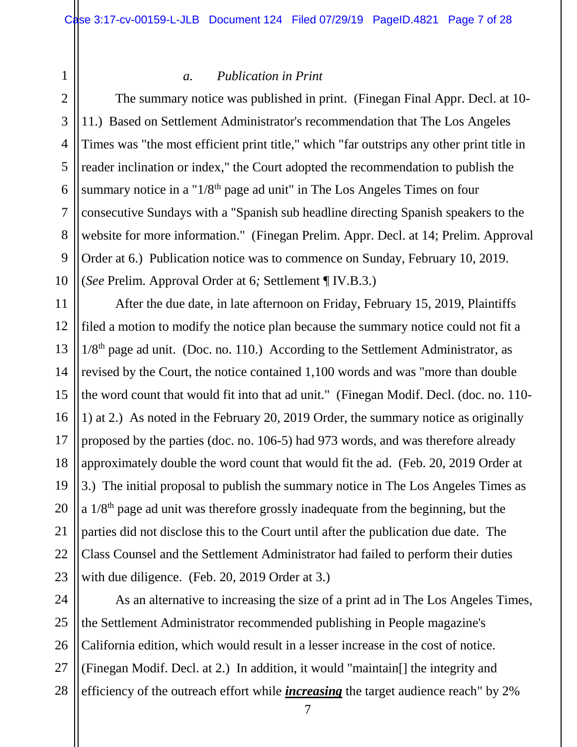2 3 4

5

6

7

8

9

10

11

12

13

14

15

1

#### *a. Publication in Print*

The summary notice was published in print. (Finegan Final Appr. Decl. at 10- 11.) Based on Settlement Administrator's recommendation that The Los Angeles Times was "the most efficient print title," which "far outstrips any other print title in reader inclination or index," the Court adopted the recommendation to publish the summary notice in a " $1/8<sup>th</sup>$  page ad unit" in The Los Angeles Times on four consecutive Sundays with a "Spanish sub headline directing Spanish speakers to the website for more information." (Finegan Prelim. Appr. Decl. at 14; Prelim. Approval Order at 6.) Publication notice was to commence on Sunday, February 10, 2019. (*See* Prelim. Approval Order at 6*;* Settlement ¶ IV.B.3.)

After the due date, in late afternoon on Friday, February 15, 2019, Plaintiffs filed a motion to modify the notice plan because the summary notice could not fit a  $1/8<sup>th</sup>$  page ad unit. (Doc. no. 110.) According to the Settlement Administrator, as revised by the Court, the notice contained 1,100 words and was "more than double the word count that would fit into that ad unit." (Finegan Modif. Decl. (doc. no. 110- 1) at 2.) As noted in the February 20, 2019 Order, the summary notice as originally proposed by the parties (doc. no. 106-5) had 973 words, and was therefore already approximately double the word count that would fit the ad. (Feb. 20, 2019 Order at 3.) The initial proposal to publish the summary notice in The Los Angeles Times as a  $1/8<sup>th</sup>$  page ad unit was therefore grossly inadequate from the beginning, but the parties did not disclose this to the Court until after the publication due date. The Class Counsel and the Settlement Administrator had failed to perform their duties with due diligence. (Feb. 20, 2019 Order at 3.)

28 As an alternative to increasing the size of a print ad in The Los Angeles Times, the Settlement Administrator recommended publishing in People magazine's California edition, which would result in a lesser increase in the cost of notice. (Finegan Modif. Decl. at 2.) In addition, it would "maintain[] the integrity and efficiency of the outreach effort while *increasing* the target audience reach" by 2%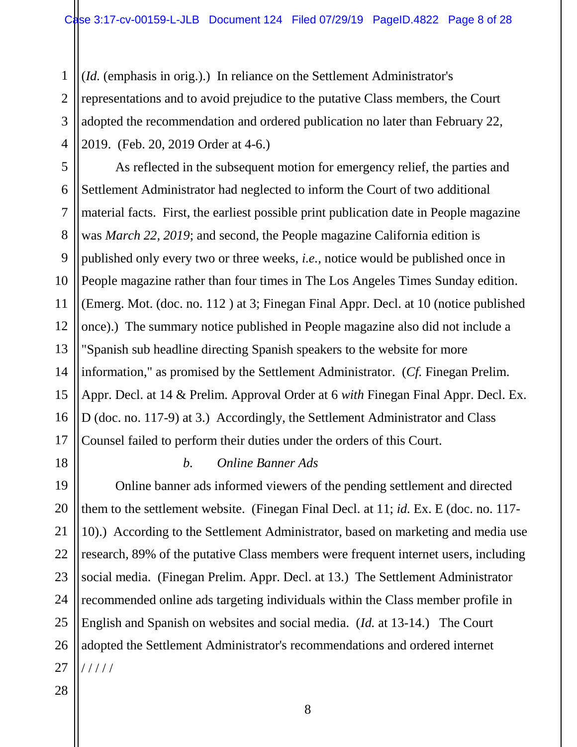1 2 3 4 (*Id.* (emphasis in orig.).) In reliance on the Settlement Administrator's representations and to avoid prejudice to the putative Class members, the Court adopted the recommendation and ordered publication no later than February 22, 2019. (Feb. 20, 2019 Order at 4-6.)

5 6 7 8 9 10 11 12 13 14 As reflected in the subsequent motion for emergency relief, the parties and Settlement Administrator had neglected to inform the Court of two additional material facts. First, the earliest possible print publication date in People magazine was *March 22, 2019*; and second, the People magazine California edition is published only every two or three weeks, *i.e.,* notice would be published once in People magazine rather than four times in The Los Angeles Times Sunday edition. (Emerg. Mot. (doc. no. 112 ) at 3; Finegan Final Appr. Decl. at 10 (notice published once).) The summary notice published in People magazine also did not include a "Spanish sub headline directing Spanish speakers to the website for more information," as promised by the Settlement Administrator. (*Cf.* Finegan Prelim. Appr. Decl. at 14 & Prelim. Approval Order at 6 *with* Finegan Final Appr. Decl. Ex. D (doc. no. 117-9) at 3.) Accordingly, the Settlement Administrator and Class Counsel failed to perform their duties under the orders of this Court.

# 15 16 17 18 19 20 21 22 23 24 25

#### *b. Online Banner Ads*

26 27 Online banner ads informed viewers of the pending settlement and directed them to the settlement website. (Finegan Final Decl. at 11; *id.* Ex. E (doc. no. 117- 10).) According to the Settlement Administrator, based on marketing and media use research, 89% of the putative Class members were frequent internet users, including social media. (Finegan Prelim. Appr. Decl. at 13.) The Settlement Administrator recommended online ads targeting individuals within the Class member profile in English and Spanish on websites and social media. (*Id.* at 13-14.) The Court adopted the Settlement Administrator's recommendations and ordered internet / / / / /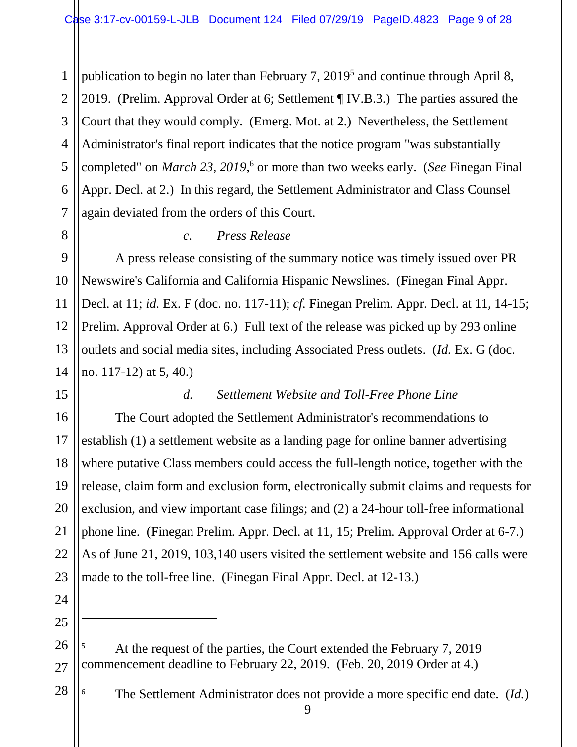1 2 3 4 5 6 7 publication to begin no later than February 7,  $2019<sup>5</sup>$  and continue through April 8, 2019. (Prelim. Approval Order at 6; Settlement ¶ IV.B.3.) The parties assured the Court that they would comply. (Emerg. Mot. at 2.) Nevertheless, the Settlement Administrator's final report indicates that the notice program "was substantially completed" on *March* 23, 2019,<sup>6</sup> or more than two weeks early. (*See* Finegan Final Appr. Decl. at 2.) In this regard, the Settlement Administrator and Class Counsel again deviated from the orders of this Court.

8

9

10

11

12

13

14

15

16

17

18

19

20

21

22

23

## *c. Press Release*

A press release consisting of the summary notice was timely issued over PR Newswire's California and California Hispanic Newslines. (Finegan Final Appr. Decl. at 11; *id.* Ex. F (doc. no. 117-11); *cf.* Finegan Prelim. Appr. Decl. at 11, 14-15; Prelim. Approval Order at 6.) Full text of the release was picked up by 293 online outlets and social media sites, including Associated Press outlets. (*Id.* Ex. G (doc. no. 117-12) at 5, 40.)

## *d. Settlement Website and Toll-Free Phone Line*

The Court adopted the Settlement Administrator's recommendations to establish (1) a settlement website as a landing page for online banner advertising where putative Class members could access the full-length notice, together with the release, claim form and exclusion form, electronically submit claims and requests for exclusion, and view important case filings; and (2) a 24-hour toll-free informational phone line. (Finegan Prelim. Appr. Decl. at 11, 15; Prelim. Approval Order at 6-7.) As of June 21, 2019, 103,140 users visited the settlement website and 156 calls were made to the toll-free line. (Finegan Final Appr. Decl. at 12-13.)

24 25

 $\overline{a}$ 

27

28

<sup>6</sup> The Settlement Administrator does not provide a more specific end date. (*Id.*)

<sup>26</sup> <sup>5</sup> At the request of the parties, the Court extended the February 7, 2019 commencement deadline to February 22, 2019. (Feb. 20, 2019 Order at 4.)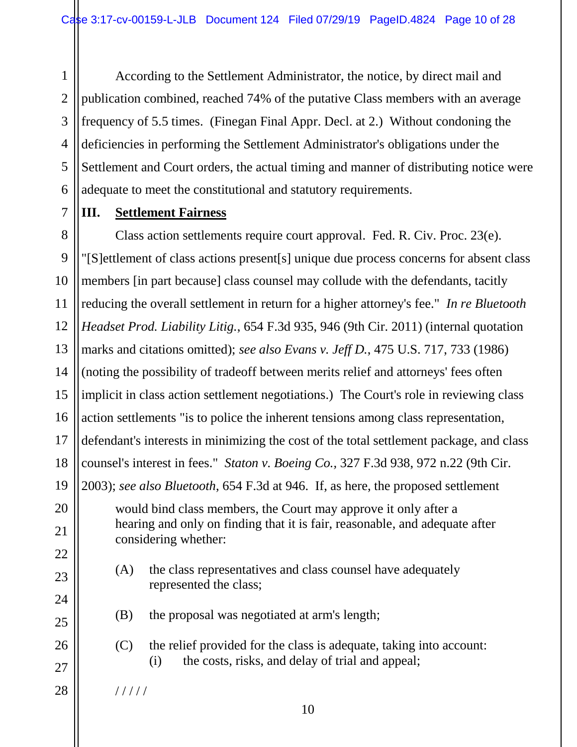1 2 3 4 5 6 According to the Settlement Administrator, the notice, by direct mail and publication combined, reached 74% of the putative Class members with an average frequency of 5.5 times. (Finegan Final Appr. Decl. at 2.) Without condoning the deficiencies in performing the Settlement Administrator's obligations under the Settlement and Court orders, the actual timing and manner of distributing notice were adequate to meet the constitutional and statutory requirements.

## **III. Settlement Fairness**

7

8 9 10 11 12 13 14 15 16 17 18 19 20 21 22 23 24 Class action settlements require court approval. Fed. R. Civ. Proc. 23(e). "[S]ettlement of class actions present[s] unique due process concerns for absent class members [in part because] class counsel may collude with the defendants, tacitly reducing the overall settlement in return for a higher attorney's fee." *In re Bluetooth Headset Prod. Liability Litig.*, 654 F.3d 935, 946 (9th Cir. 2011) (internal quotation marks and citations omitted); *see also Evans v. Jeff D.*, 475 U.S. 717, 733 (1986) (noting the possibility of tradeoff between merits relief and attorneys' fees often implicit in class action settlement negotiations.) The Court's role in reviewing class action settlements "is to police the inherent tensions among class representation, defendant's interests in minimizing the cost of the total settlement package, and class counsel's interest in fees." *Staton v. Boeing Co.,* 327 F.3d 938, 972 n.22 (9th Cir. 2003); *see also Bluetooth*, 654 F.3d at 946. If, as here, the proposed settlement would bind class members, the Court may approve it only after a hearing and only on finding that it is fair, reasonable, and adequate after considering whether: (A) the class representatives and class counsel have adequately represented the class;

- (B) the proposal was negotiated at arm's length;
- (C) the relief provided for the class is adequate, taking into account: (i) the costs, risks, and delay of trial and appeal;

/ / / / /

25

26

27

28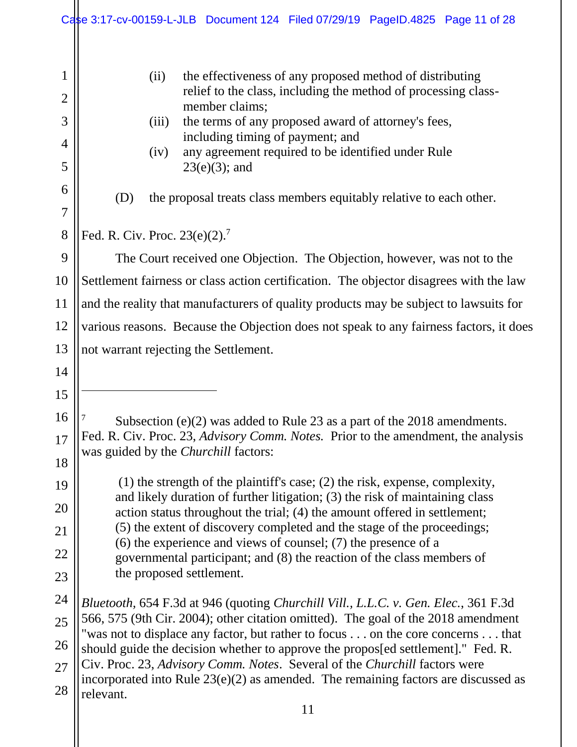11 1 2 3 4 5 6 7 8 9 10 11 12 13 14 15 16 17 18 19 20 21 22 23 24 25 26 27 28 (ii) the effectiveness of any proposed method of distributing relief to the class, including the method of processing classmember claims; (iii) the terms of any proposed award of attorney's fees, including timing of payment; and (iv) any agreement required to be identified under Rule  $23(e)(3)$ ; and (D) the proposal treats class members equitably relative to each other. Fed. R. Civ. Proc.  $23(e)(2)$ .<sup>7</sup> The Court received one Objection. The Objection, however, was not to the Settlement fairness or class action certification. The objector disagrees with the law and the reality that manufacturers of quality products may be subject to lawsuits for various reasons. Because the Objection does not speak to any fairness factors, it does not warrant rejecting the Settlement.  $\overline{a}$ Subsection (e)(2) was added to Rule 23 as a part of the 2018 amendments. Fed. R. Civ. Proc. 23, *Advisory Comm. Notes.* Prior to the amendment, the analysis was guided by the *Churchill* factors: (1) the strength of the plaintiff's case; (2) the risk, expense, complexity, and likely duration of further litigation; (3) the risk of maintaining class action status throughout the trial; (4) the amount offered in settlement; (5) the extent of discovery completed and the stage of the proceedings; (6) the experience and views of counsel; (7) the presence of a governmental participant; and (8) the reaction of the class members of the proposed settlement. *Bluetooth,* 654 F.3d at 946 (quoting *Churchill Vill., L.L.C. v. Gen. Elec.*, 361 F.3d 566, 575 (9th Cir. 2004); other citation omitted). The goal of the 2018 amendment "was not to displace any factor, but rather to focus . . . on the core concerns . . . that should guide the decision whether to approve the propos[ed settlement]." Fed. R. Civ. Proc. 23, *Advisory Comm. Notes*. Several of the *Churchill* factors were incorporated into Rule 23(e)(2) as amended. The remaining factors are discussed as relevant. Case 3:17-cv-00159-L-JLB Document 124 Filed 07/29/19 PageID.4825 Page 11 of 28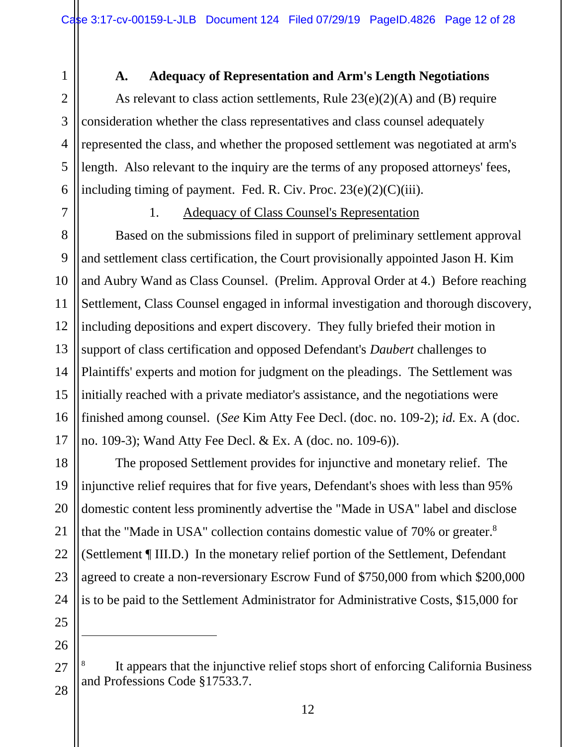### **A. Adequacy of Representation and Arm's Length Negotiations**

As relevant to class action settlements, Rule  $23(e)(2)(A)$  and (B) require consideration whether the class representatives and class counsel adequately represented the class, and whether the proposed settlement was negotiated at arm's length. Also relevant to the inquiry are the terms of any proposed attorneys' fees, including timing of payment. Fed. R. Civ. Proc.  $23(e)(2)(C)(iii)$ .

7

1

2

3

4

5

6

#### 1. Adequacy of Class Counsel's Representation

8 9 10 11 12 13 14 15 16 17 Based on the submissions filed in support of preliminary settlement approval and settlement class certification, the Court provisionally appointed Jason H. Kim and Aubry Wand as Class Counsel. (Prelim. Approval Order at 4.) Before reaching Settlement, Class Counsel engaged in informal investigation and thorough discovery, including depositions and expert discovery. They fully briefed their motion in support of class certification and opposed Defendant's *Daubert* challenges to Plaintiffs' experts and motion for judgment on the pleadings. The Settlement was initially reached with a private mediator's assistance, and the negotiations were finished among counsel. (*See* Kim Atty Fee Decl. (doc. no. 109-2); *id.* Ex. A (doc. no. 109-3); Wand Atty Fee Decl. & Ex. A (doc. no. 109-6)).

The proposed Settlement provides for injunctive and monetary relief. The injunctive relief requires that for five years, Defendant's shoes with less than 95% domestic content less prominently advertise the "Made in USA" label and disclose that the "Made in USA" collection contains domestic value of  $70\%$  or greater. $8$ (Settlement ¶ III.D.) In the monetary relief portion of the Settlement, Defendant agreed to create a non-reversionary Escrow Fund of \$750,000 from which \$200,000 is to be paid to the Settlement Administrator for Administrative Costs, \$15,000 for

25 26 27

 $\overline{a}$ 

28

18

19

20

21

22

23

<sup>8</sup> It appears that the injunctive relief stops short of enforcing California Business and Professions Code §17533.7.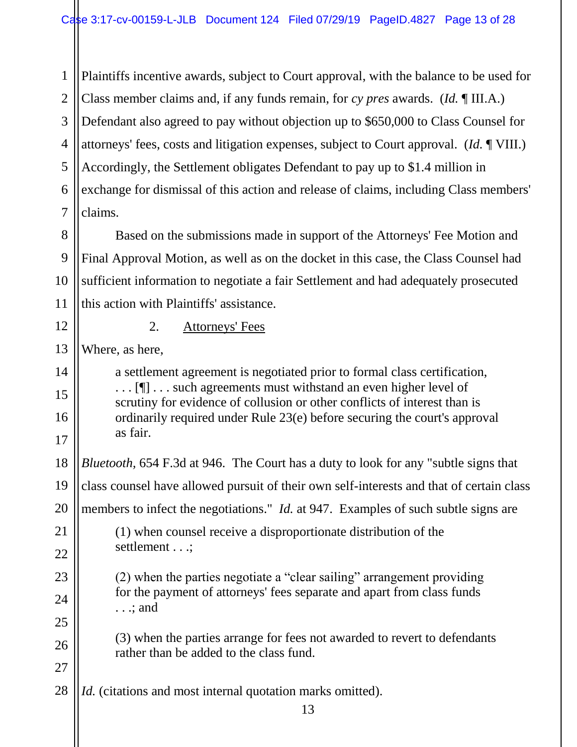1 2 3 4 5 6 7 Plaintiffs incentive awards, subject to Court approval, with the balance to be used for Class member claims and, if any funds remain, for *cy pres* awards. (*Id.* ¶ III.A.) Defendant also agreed to pay without objection up to \$650,000 to Class Counsel for attorneys' fees, costs and litigation expenses, subject to Court approval. (*Id.* ¶ VIII.) Accordingly, the Settlement obligates Defendant to pay up to \$1.4 million in exchange for dismissal of this action and release of claims, including Class members' claims.

8 9 10 11 Based on the submissions made in support of the Attorneys' Fee Motion and Final Approval Motion, as well as on the docket in this case, the Class Counsel had sufficient information to negotiate a fair Settlement and had adequately prosecuted this action with Plaintiffs' assistance.

12

14

15

16

17

22

23

24

25

26

27

## 2. Attorneys' Fees

13 Where, as here,

> a settlement agreement is negotiated prior to formal class certification, ... [¶] ... such agreements must withstand an even higher level of scrutiny for evidence of collusion or other conflicts of interest than is ordinarily required under Rule 23(e) before securing the court's approval as fair.

18 19 20 21 *Bluetooth,* 654 F.3d at 946. The Court has a duty to look for any "subtle signs that class counsel have allowed pursuit of their own self-interests and that of certain class members to infect the negotiations." *Id.* at 947. Examples of such subtle signs are (1) when counsel receive a disproportionate distribution of the settlement . . .;

> (2) when the parties negotiate a "clear sailing" arrangement providing for the payment of attorneys' fees separate and apart from class funds . . .; and

(3) when the parties arrange for fees not awarded to revert to defendants rather than be added to the class fund.

28 *Id.* (citations and most internal quotation marks omitted).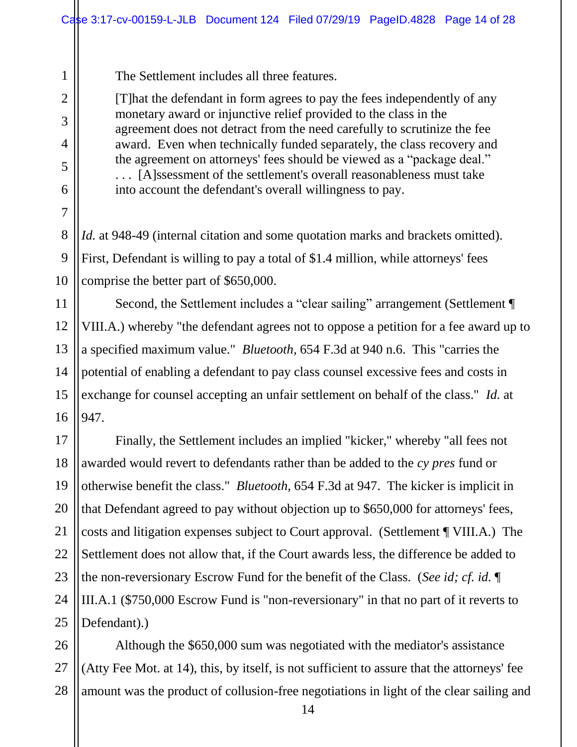The Settlement includes all three features.

[T]hat the defendant in form agrees to pay the fees independently of any monetary award or injunctive relief provided to the class in the agreement does not detract from the need carefully to scrutinize the fee award. Even when technically funded separately, the class recovery and the agreement on attorneys' fees should be viewed as a "package deal." . . . [A]ssessment of the settlement's overall reasonableness must take into account the defendant's overall willingness to pay.

*Id.* at 948-49 (internal citation and some quotation marks and brackets omitted). First, Defendant is willing to pay a total of \$1.4 million, while attorneys' fees comprise the better part of \$650,000.

Second, the Settlement includes a "clear sailing" arrangement (Settlement ¶ VIII.A.) whereby "the defendant agrees not to oppose a petition for a fee award up to a specified maximum value." *Bluetooth,* 654 F.3d at 940 n.6. This "carries the potential of enabling a defendant to pay class counsel excessive fees and costs in exchange for counsel accepting an unfair settlement on behalf of the class." *Id.* at 947.

17 18 19 20 21 22 23 24 25 Finally, the Settlement includes an implied "kicker," whereby "all fees not awarded would revert to defendants rather than be added to the *cy pres* fund or otherwise benefit the class." *Bluetooth,* 654 F.3d at 947. The kicker is implicit in that Defendant agreed to pay without objection up to \$650,000 for attorneys' fees, costs and litigation expenses subject to Court approval. (Settlement ¶ VIII.A.) The Settlement does not allow that, if the Court awards less, the difference be added to the non-reversionary Escrow Fund for the benefit of the Class. (*See id; cf. id.* ¶ III.A.1 (\$750,000 Escrow Fund is "non-reversionary" in that no part of it reverts to Defendant).)

26 27 28 Although the \$650,000 sum was negotiated with the mediator's assistance (Atty Fee Mot. at 14), this, by itself, is not sufficient to assure that the attorneys' fee amount was the product of collusion-free negotiations in light of the clear sailing and

1

2

3

4

5

6

7

8

9

10

11

12

13

14

15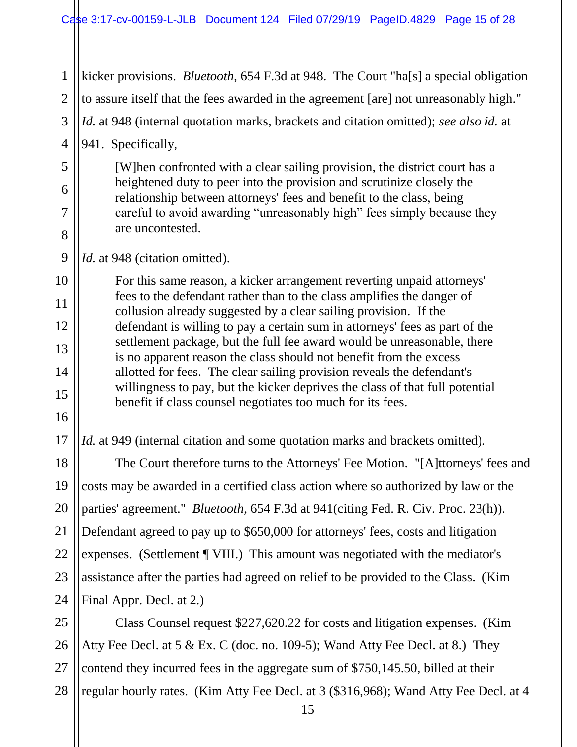1 2 3 kicker provisions. *Bluetooth*, 654 F.3d at 948. The Court "ha[s] a special obligation to assure itself that the fees awarded in the agreement [are] not unreasonably high." *Id.* at 948 (internal quotation marks, brackets and citation omitted); *see also id.* at

4 941. Specifically,

5

6

7

8

9

10

11

12

13

14

15

16

17

[W]hen confronted with a clear sailing provision, the district court has a heightened duty to peer into the provision and scrutinize closely the relationship between attorneys' fees and benefit to the class, being careful to avoid awarding "unreasonably high" fees simply because they are uncontested.

*Id.* at 948 (citation omitted).

For this same reason, a kicker arrangement reverting unpaid attorneys' fees to the defendant rather than to the class amplifies the danger of collusion already suggested by a clear sailing provision. If the defendant is willing to pay a certain sum in attorneys' fees as part of the settlement package, but the full fee award would be unreasonable, there is no apparent reason the class should not benefit from the excess allotted for fees. The clear sailing provision reveals the defendant's willingness to pay, but the kicker deprives the class of that full potential benefit if class counsel negotiates too much for its fees.

*Id.* at 949 (internal citation and some quotation marks and brackets omitted).

18 19 20 21 22 23 24 The Court therefore turns to the Attorneys' Fee Motion. "[A]ttorneys' fees and costs may be awarded in a certified class action where so authorized by law or the parties' agreement." *Bluetooth*, 654 F.3d at 941(citing Fed. R. Civ. Proc. 23(h)). Defendant agreed to pay up to \$650,000 for attorneys' fees, costs and litigation expenses. (Settlement ¶ VIII.) This amount was negotiated with the mediator's assistance after the parties had agreed on relief to be provided to the Class. (Kim Final Appr. Decl. at 2.)

25 26 27 28 Class Counsel request \$227,620.22 for costs and litigation expenses. (Kim Atty Fee Decl. at 5 & Ex. C (doc. no. 109-5); Wand Atty Fee Decl. at 8.) They contend they incurred fees in the aggregate sum of \$750,145.50, billed at their regular hourly rates. (Kim Atty Fee Decl. at 3 (\$316,968); Wand Atty Fee Decl. at 4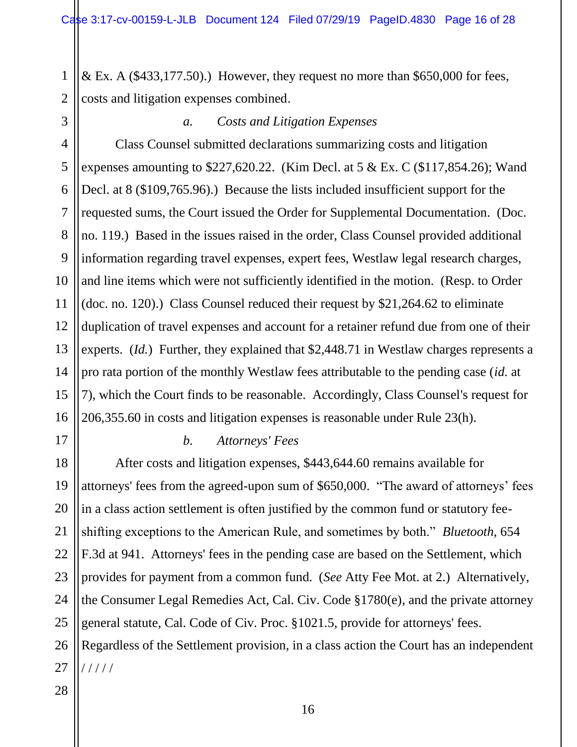1 2 & Ex. A  $(\$433,177.50)$ .) However, they request no more than \$650,000 for fees, costs and litigation expenses combined.

3

## *a. Costs and Litigation Expenses*

4 5 6 7 8 9 10 11 12 13 14 15 16 Class Counsel submitted declarations summarizing costs and litigation expenses amounting to  $$227,620.22$ . (Kim Decl. at 5 & Ex. C (\$117,854.26); Wand Decl. at 8 (\$109,765.96).) Because the lists included insufficient support for the requested sums, the Court issued the Order for Supplemental Documentation. (Doc. no. 119.) Based in the issues raised in the order, Class Counsel provided additional information regarding travel expenses, expert fees, Westlaw legal research charges, and line items which were not sufficiently identified in the motion. (Resp. to Order (doc. no. 120).) Class Counsel reduced their request by \$21,264.62 to eliminate duplication of travel expenses and account for a retainer refund due from one of their experts. (*Id.*) Further, they explained that \$2,448.71 in Westlaw charges represents a pro rata portion of the monthly Westlaw fees attributable to the pending case (*id.* at 7), which the Court finds to be reasonable. Accordingly, Class Counsel's request for 206,355.60 in costs and litigation expenses is reasonable under Rule 23(h).

#### *b. Attorneys' Fees*

After costs and litigation expenses, \$443,644.60 remains available for attorneys' fees from the agreed-upon sum of \$650,000. "The award of attorneys' fees in a class action settlement is often justified by the common fund or statutory feeshifting exceptions to the American Rule, and sometimes by both." *Bluetooth*, 654 F.3d at 941. Attorneys' fees in the pending case are based on the Settlement, which provides for payment from a common fund. (*See* Atty Fee Mot. at 2.) Alternatively, the Consumer Legal Remedies Act, Cal. Civ. Code §1780(e), and the private attorney general statute, Cal. Code of Civ. Proc. §1021.5, provide for attorneys' fees. Regardless of the Settlement provision, in a class action the Court has an independent / / / / /

28

17

18

19

20

21

22

23

24

25

26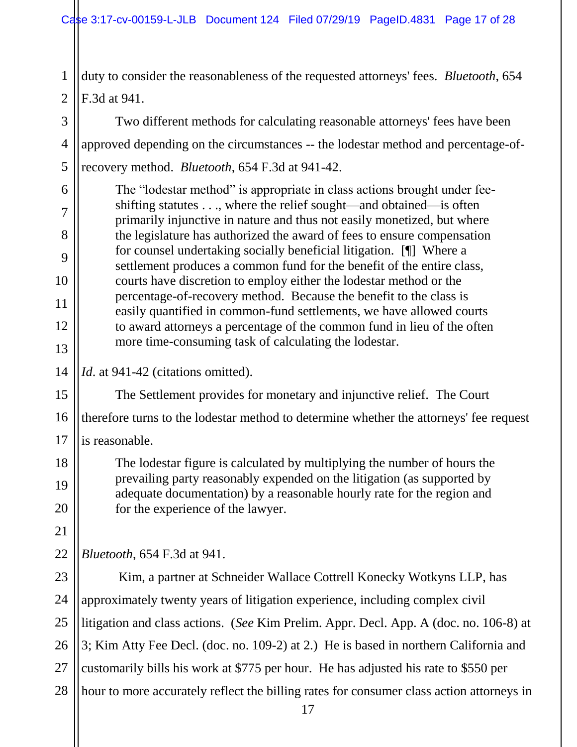1 2 duty to consider the reasonableness of the requested attorneys' fees. *Bluetooth*, 654 F.3d at 941.

3 4 5 Two different methods for calculating reasonable attorneys' fees have been approved depending on the circumstances -- the lodestar method and percentage-ofrecovery method. *Bluetooth*, 654 F.3d at 941-42.

The "lodestar method" is appropriate in class actions brought under feeshifting statutes . . ., where the relief sought—and obtained—is often primarily injunctive in nature and thus not easily monetized, but where the legislature has authorized the award of fees to ensure compensation for counsel undertaking socially beneficial litigation. [¶] Where a settlement produces a common fund for the benefit of the entire class, courts have discretion to employ either the lodestar method or the percentage-of-recovery method. Because the benefit to the class is easily quantified in common-fund settlements, we have allowed courts to award attorneys a percentage of the common fund in lieu of the often more time-consuming task of calculating the lodestar.

## *Id.* at 941-42 (citations omitted).

6

7

8

9

10

11

12

13

14

15

17

18

19

20

21

16 The Settlement provides for monetary and injunctive relief. The Court therefore turns to the lodestar method to determine whether the attorneys' fee request is reasonable.

The lodestar figure is calculated by multiplying the number of hours the prevailing party reasonably expended on the litigation (as supported by adequate documentation) by a reasonable hourly rate for the region and for the experience of the lawyer.

22 *Bluetooth*, 654 F.3d at 941.

23 24 25 26 27 28 Kim, a partner at Schneider Wallace Cottrell Konecky Wotkyns LLP, has approximately twenty years of litigation experience, including complex civil litigation and class actions. (*See* Kim Prelim. Appr. Decl. App. A (doc. no. 106-8) at 3; Kim Atty Fee Decl. (doc. no. 109-2) at 2.) He is based in northern California and customarily bills his work at \$775 per hour. He has adjusted his rate to \$550 per hour to more accurately reflect the billing rates for consumer class action attorneys in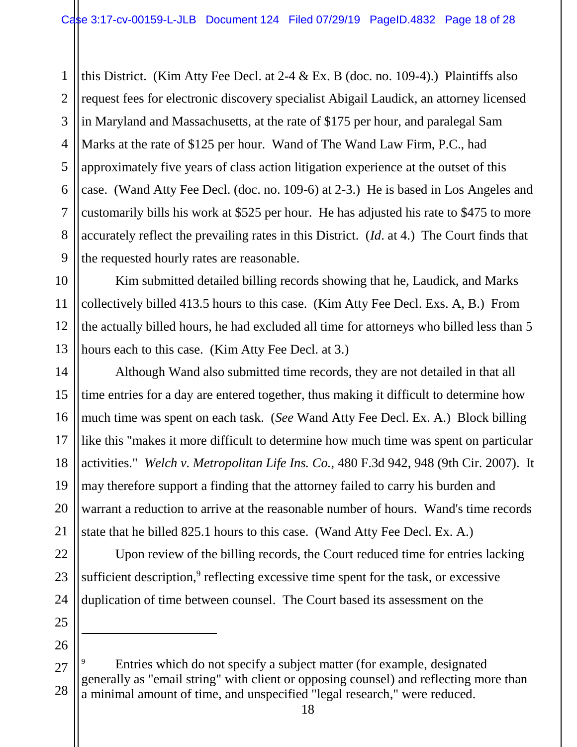1 2 3 4 5 6 7 8 9 this District. (Kim Atty Fee Decl. at 2-4 & Ex. B (doc. no. 109-4).) Plaintiffs also request fees for electronic discovery specialist Abigail Laudick, an attorney licensed in Maryland and Massachusetts, at the rate of \$175 per hour, and paralegal Sam Marks at the rate of \$125 per hour. Wand of The Wand Law Firm, P.C., had approximately five years of class action litigation experience at the outset of this case. (Wand Atty Fee Decl. (doc. no. 109-6) at 2-3.) He is based in Los Angeles and customarily bills his work at \$525 per hour. He has adjusted his rate to \$475 to more accurately reflect the prevailing rates in this District. (*Id*. at 4.) The Court finds that the requested hourly rates are reasonable.

10 11 12 13 Kim submitted detailed billing records showing that he, Laudick, and Marks collectively billed 413.5 hours to this case. (Kim Atty Fee Decl. Exs. A, B.) From the actually billed hours, he had excluded all time for attorneys who billed less than 5 hours each to this case. (Kim Atty Fee Decl. at 3.)

Although Wand also submitted time records, they are not detailed in that all time entries for a day are entered together, thus making it difficult to determine how much time was spent on each task. (*See* Wand Atty Fee Decl. Ex. A.) Block billing like this "makes it more difficult to determine how much time was spent on particular activities." *Welch v. Metropolitan Life Ins. Co.,* 480 F.3d 942, 948 (9th Cir. 2007). It may therefore support a finding that the attorney failed to carry his burden and warrant a reduction to arrive at the reasonable number of hours. Wand's time records state that he billed 825.1 hours to this case. (Wand Atty Fee Decl. Ex. A.)

22 23 24 Upon review of the billing records, the Court reduced time for entries lacking sufficient description, $9$  reflecting excessive time spent for the task, or excessive duplication of time between counsel. The Court based its assessment on the

25 26

 $\overline{a}$ 

14

15

16

17

18

19

20

<sup>27</sup> 28 Entries which do not specify a subject matter (for example, designated generally as "email string" with client or opposing counsel) and reflecting more than a minimal amount of time, and unspecified "legal research," were reduced.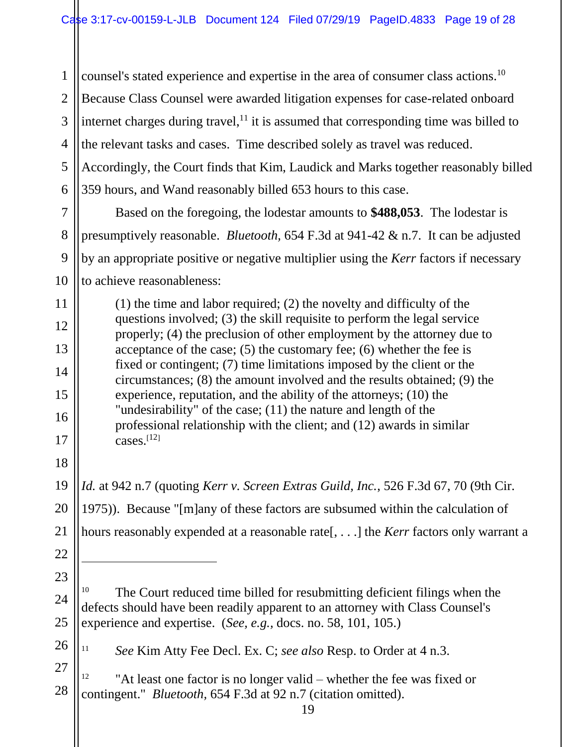1 2 3 4 5 6 7 counsel's stated experience and expertise in the area of consumer class actions.<sup>10</sup> Because Class Counsel were awarded litigation expenses for case-related onboard internet charges during travel, $<sup>11</sup>$  it is assumed that corresponding time was billed to</sup> the relevant tasks and cases. Time described solely as travel was reduced. Accordingly, the Court finds that Kim, Laudick and Marks together reasonably billed 359 hours, and Wand reasonably billed 653 hours to this case.

10 Based on the foregoing, the lodestar amounts to **\$488,053**. The lodestar is presumptively reasonable. *Bluetooth,* 654 F.3d at 941-42 & n.7. It can be adjusted by an appropriate positive or negative multiplier using the *Kerr* factors if necessary to achieve reasonableness:

8

9

11

12

13

14

15

16

17

18

19

20

21

22

 $\ddot{\phantom{a}}$ 

23

26

(1) the time and labor required; (2) the novelty and difficulty of the questions involved; (3) the skill requisite to perform the legal service properly; (4) the preclusion of other employment by the attorney due to acceptance of the case; (5) the customary fee; (6) whether the fee is fixed or contingent; (7) time limitations imposed by the client or the circumstances; (8) the amount involved and the results obtained; (9) the experience, reputation, and the ability of the attorneys; (10) the "undesirability" of the case; (11) the nature and length of the professional relationship with the client; and (12) awards in similar cases. $[12]$ 

*Id.* at 942 n.7 (quoting *Kerr v. Screen Extras Guild, Inc.*, 526 F.3d 67, 70 (9th Cir. 1975)). Because "[m]any of these factors are subsumed within the calculation of hours reasonably expended at a reasonable rate[, . . .] the *Kerr* factors only warrant a

24 25 The Court reduced time billed for resubmitting deficient filings when the defects should have been readily apparent to an attorney with Class Counsel's experience and expertise. (*See, e.g.,* docs. no. 58, 101, 105.)

<sup>11</sup> *See* Kim Atty Fee Decl. Ex. C; *see also* Resp. to Order at 4 n.3.

27 28 "At least one factor is no longer valid – whether the fee was fixed or contingent." *Bluetooth,* 654 F.3d at 92 n.7 (citation omitted).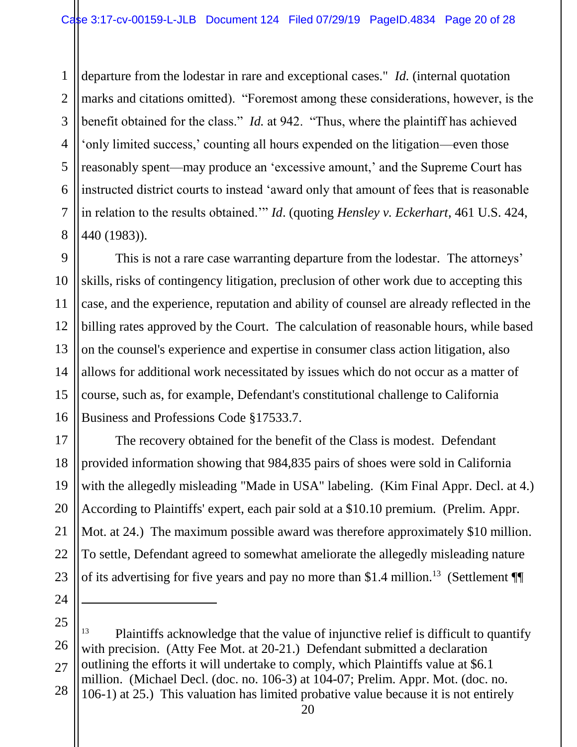1 2 3 4 5 6 7 8 departure from the lodestar in rare and exceptional cases." *Id.* (internal quotation marks and citations omitted). "Foremost among these considerations, however, is the benefit obtained for the class." *Id.* at 942. "Thus, where the plaintiff has achieved 'only limited success,' counting all hours expended on the litigation—even those reasonably spent—may produce an 'excessive amount,' and the Supreme Court has instructed district courts to instead 'award only that amount of fees that is reasonable in relation to the results obtained.'" *Id*. (quoting *Hensley v. Eckerhart*, 461 U.S. 424, 440 (1983)).

This is not a rare case warranting departure from the lodestar. The attorneys' skills, risks of contingency litigation, preclusion of other work due to accepting this case, and the experience, reputation and ability of counsel are already reflected in the billing rates approved by the Court. The calculation of reasonable hours, while based on the counsel's experience and expertise in consumer class action litigation, also allows for additional work necessitated by issues which do not occur as a matter of course, such as, for example, Defendant's constitutional challenge to California Business and Professions Code §17533.7.

20 23 The recovery obtained for the benefit of the Class is modest. Defendant provided information showing that 984,835 pairs of shoes were sold in California with the allegedly misleading "Made in USA" labeling. (Kim Final Appr. Decl. at 4.) According to Plaintiffs' expert, each pair sold at a \$10.10 premium. (Prelim. Appr. Mot. at 24.) The maximum possible award was therefore approximately \$10 million. To settle, Defendant agreed to somewhat ameliorate the allegedly misleading nature of its advertising for five years and pay no more than \$1.4 million.<sup>13</sup> (Settlement  $\P$ 

24

 $\overline{a}$ 

9

10

11

12

13

14

15

16

17

18

19

21

22

25 26 27 28 <sup>13</sup> Plaintiffs acknowledge that the value of injunctive relief is difficult to quantify with precision. (Atty Fee Mot. at 20-21.) Defendant submitted a declaration outlining the efforts it will undertake to comply, which Plaintiffs value at \$6.1 million. (Michael Decl. (doc. no. 106-3) at 104-07; Prelim. Appr. Mot. (doc. no. 106-1) at 25.) This valuation has limited probative value because it is not entirely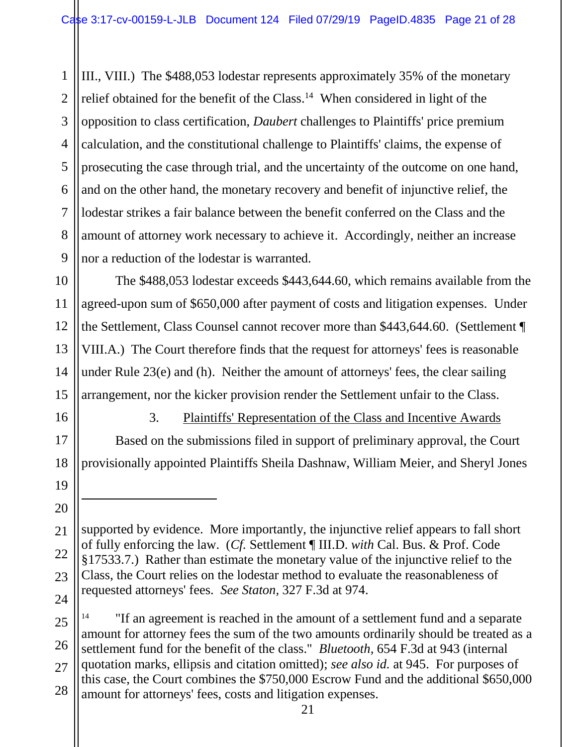1 2 3 4 5 6 7 8 9 III., VIII.) The \$488,053 lodestar represents approximately 35% of the monetary relief obtained for the benefit of the Class.<sup>14</sup> When considered in light of the opposition to class certification, *Daubert* challenges to Plaintiffs' price premium calculation, and the constitutional challenge to Plaintiffs' claims, the expense of prosecuting the case through trial, and the uncertainty of the outcome on one hand, and on the other hand, the monetary recovery and benefit of injunctive relief, the lodestar strikes a fair balance between the benefit conferred on the Class and the amount of attorney work necessary to achieve it. Accordingly, neither an increase nor a reduction of the lodestar is warranted.

10 11 12 13 14 15 The \$488,053 lodestar exceeds \$443,644.60, which remains available from the agreed-upon sum of \$650,000 after payment of costs and litigation expenses. Under the Settlement, Class Counsel cannot recover more than \$443,644.60. (Settlement ¶ VIII.A.) The Court therefore finds that the request for attorneys' fees is reasonable under Rule 23(e) and (h). Neither the amount of attorneys' fees, the clear sailing arrangement, nor the kicker provision render the Settlement unfair to the Class.

16

17

18

19

20

 $\overline{a}$ 

3. Plaintiffs' Representation of the Class and Incentive Awards Based on the submissions filed in support of preliminary approval, the Court provisionally appointed Plaintiffs Sheila Dashnaw, William Meier, and Sheryl Jones

<sup>21</sup> 22 23 24 supported by evidence. More importantly, the injunctive relief appears to fall short of fully enforcing the law. (*Cf.* Settlement ¶ III.D. *with* Cal. Bus. & Prof. Code §17533.7.) Rather than estimate the monetary value of the injunctive relief to the Class, the Court relies on the lodestar method to evaluate the reasonableness of requested attorneys' fees. *See Staton,* 327 F.3d at 974.

<sup>25</sup> 26 27 28 "If an agreement is reached in the amount of a settlement fund and a separate amount for attorney fees the sum of the two amounts ordinarily should be treated as a settlement fund for the benefit of the class." *Bluetooth,* 654 F.3d at 943 (internal quotation marks, ellipsis and citation omitted); *see also id.* at 945. For purposes of this case, the Court combines the \$750,000 Escrow Fund and the additional \$650,000 amount for attorneys' fees, costs and litigation expenses.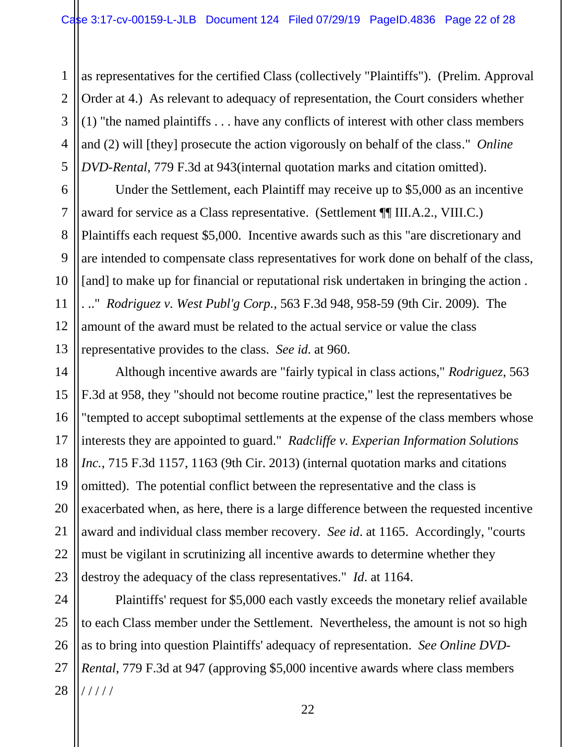as representatives for the certified Class (collectively "Plaintiffs"). (Prelim. Approval Order at 4.) As relevant to adequacy of representation, the Court considers whether (1) "the named plaintiffs . . . have any conflicts of interest with other class members and (2) will [they] prosecute the action vigorously on behalf of the class." *Online DVD-Rental*, 779 F.3d at 943(internal quotation marks and citation omitted).

Under the Settlement, each Plaintiff may receive up to \$5,000 as an incentive award for service as a Class representative. (Settlement ¶¶ III.A.2., VIII.C.) Plaintiffs each request \$5,000. Incentive awards such as this "are discretionary and are intended to compensate class representatives for work done on behalf of the class, [and] to make up for financial or reputational risk undertaken in bringing the action. . .." *Rodriguez v. West Publ'g Corp.*, 563 F.3d 948, 958-59 (9th Cir. 2009). The amount of the award must be related to the actual service or value the class representative provides to the class. *See id*. at 960.

Although incentive awards are "fairly typical in class actions," *Rodriguez*, 563 F.3d at 958, they "should not become routine practice," lest the representatives be "tempted to accept suboptimal settlements at the expense of the class members whose interests they are appointed to guard." *Radcliffe v. Experian Information Solutions Inc.*, 715 F.3d 1157, 1163 (9th Cir. 2013) (internal quotation marks and citations omitted). The potential conflict between the representative and the class is exacerbated when, as here, there is a large difference between the requested incentive award and individual class member recovery. *See id*. at 1165. Accordingly, "courts must be vigilant in scrutinizing all incentive awards to determine whether they destroy the adequacy of the class representatives." *Id*. at 1164.

Plaintiffs' request for \$5,000 each vastly exceeds the monetary relief available to each Class member under the Settlement. Nevertheless, the amount is not so high as to bring into question Plaintiffs' adequacy of representation. *See Online DVD-Rental*, 779 F.3d at 947 (approving \$5,000 incentive awards where class members / / / / /

22

1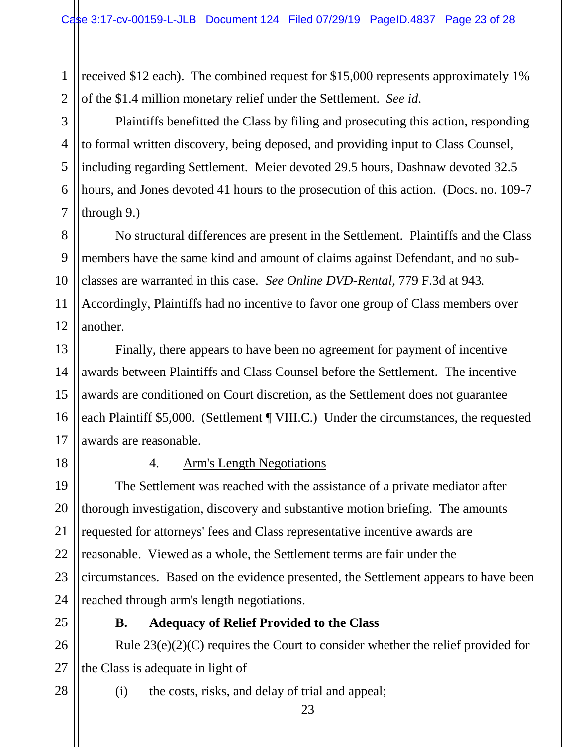1 2 received \$12 each). The combined request for \$15,000 represents approximately 1% of the \$1.4 million monetary relief under the Settlement. *See id*.

6 Plaintiffs benefitted the Class by filing and prosecuting this action, responding to formal written discovery, being deposed, and providing input to Class Counsel, including regarding Settlement. Meier devoted 29.5 hours, Dashnaw devoted 32.5 hours, and Jones devoted 41 hours to the prosecution of this action. (Docs. no. 109-7 through 9.)

8 9 10 11 12 No structural differences are present in the Settlement. Plaintiffs and the Class members have the same kind and amount of claims against Defendant, and no subclasses are warranted in this case. *See Online DVD-Rental*, 779 F.3d at 943. Accordingly, Plaintiffs had no incentive to favor one group of Class members over another.

13 14 15 16 17 Finally, there appears to have been no agreement for payment of incentive awards between Plaintiffs and Class Counsel before the Settlement. The incentive awards are conditioned on Court discretion, as the Settlement does not guarantee each Plaintiff \$5,000. (Settlement ¶ VIII.C.) Under the circumstances, the requested awards are reasonable.

18

3

4

5

7

## 4. Arm's Length Negotiations

19 20 21 22 23 24 The Settlement was reached with the assistance of a private mediator after thorough investigation, discovery and substantive motion briefing. The amounts requested for attorneys' fees and Class representative incentive awards are reasonable. Viewed as a whole, the Settlement terms are fair under the circumstances. Based on the evidence presented, the Settlement appears to have been reached through arm's length negotiations.

## **B. Adequacy of Relief Provided to the Class**

26 27 Rule 23(e)(2)(C) requires the Court to consider whether the relief provided for the Class is adequate in light of

28

- (i) the costs, risks, and delay of trial and appeal;
	- 23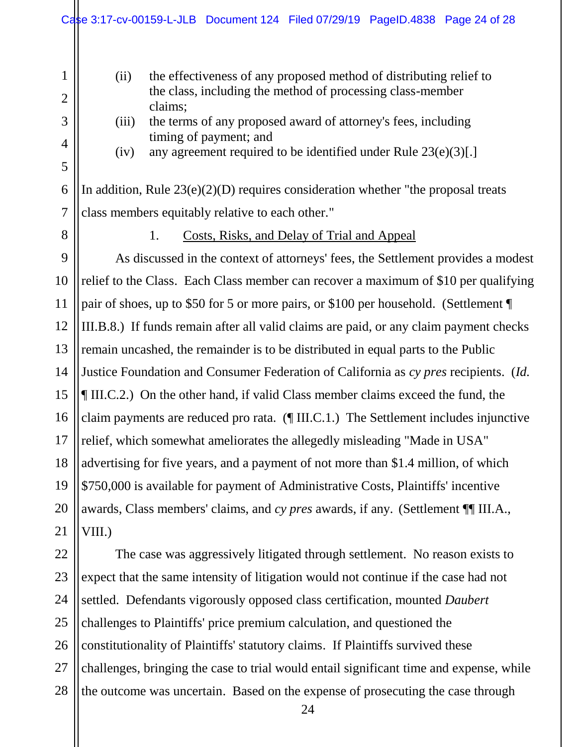- (ii) the effectiveness of any proposed method of distributing relief to the class, including the method of processing class-member claims;
- (iii) the terms of any proposed award of attorney's fees, including timing of payment; and
- (iv) any agreement required to be identified under Rule  $23(e)(3)[.]$

In addition, Rule  $23(e)(2)(D)$  requires consideration whether "the proposal treats" class members equitably relative to each other."

1

2

3

4

5

6

7

8

## 1. Costs, Risks, and Delay of Trial and Appeal

9 10 11 12 13 14 15 16 17 18 19 20 21 As discussed in the context of attorneys' fees, the Settlement provides a modest relief to the Class.Each Class member can recover a maximum of \$10 per qualifying pair of shoes, up to \$50 for 5 or more pairs, or \$100 per household. (Settlement ¶ III.B.8.) If funds remain after all valid claims are paid, or any claim payment checks remain uncashed, the remainder is to be distributed in equal parts to the Public Justice Foundation and Consumer Federation of California as *cy pres* recipients. (*Id.* ¶ III.C.2.) On the other hand, if valid Class member claims exceed the fund, the claim payments are reduced pro rata. (¶ III.C.1.) The Settlement includes injunctive relief, which somewhat ameliorates the allegedly misleading "Made in USA" advertising for five years, and a payment of not more than \$1.4 million, of which \$750,000 is available for payment of Administrative Costs, Plaintiffs' incentive awards, Class members' claims, and *cy pres* awards, if any. (Settlement ¶¶ III.A., VIII.)

22 23 24 25 26 27 28 The case was aggressively litigated through settlement. No reason exists to expect that the same intensity of litigation would not continue if the case had not settled. Defendants vigorously opposed class certification, mounted *Daubert* challenges to Plaintiffs' price premium calculation, and questioned the constitutionality of Plaintiffs' statutory claims. If Plaintiffs survived these challenges, bringing the case to trial would entail significant time and expense, while the outcome was uncertain. Based on the expense of prosecuting the case through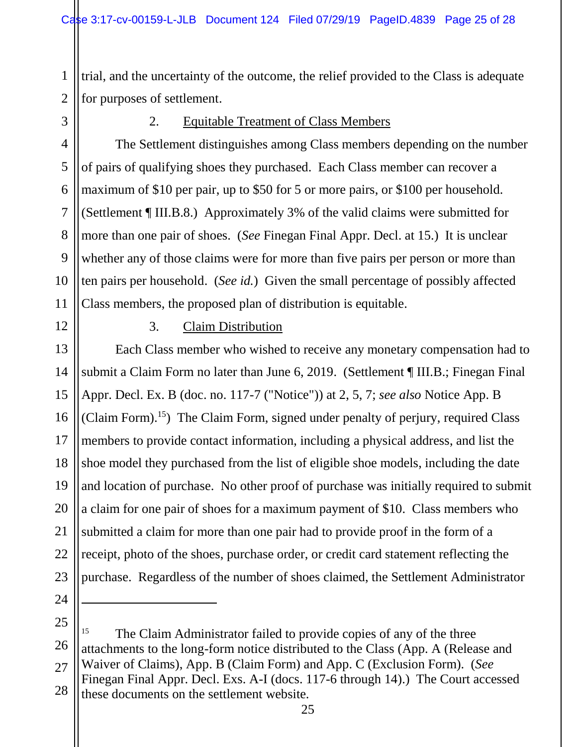1 2 trial, and the uncertainty of the outcome, the relief provided to the Class is adequate for purposes of settlement.

3

4

5

6

7

8

9

10

11

## 2. Equitable Treatment of Class Members

The Settlement distinguishes among Class members depending on the number of pairs of qualifying shoes they purchased. Each Class member can recover a maximum of \$10 per pair, up to \$50 for 5 or more pairs, or \$100 per household. (Settlement ¶ III.B.8.) Approximately 3% of the valid claims were submitted for more than one pair of shoes. (*See* Finegan Final Appr. Decl. at 15.) It is unclear whether any of those claims were for more than five pairs per person or more than ten pairs per household. (*See id.*) Given the small percentage of possibly affected Class members, the proposed plan of distribution is equitable.

12

13

15

16

17

18

19

21

22

## 3. Claim Distribution

14 20 23 Each Class member who wished to receive any monetary compensation had to submit a Claim Form no later than June 6, 2019. (Settlement ¶ III.B.; Finegan Final Appr. Decl. Ex. B (doc. no. 117-7 ("Notice")) at 2, 5, 7; *see also* Notice App. B (Claim Form).<sup>15</sup>) The Claim Form, signed under penalty of perjury, required Class members to provide contact information, including a physical address, and list the shoe model they purchased from the list of eligible shoe models, including the date and location of purchase. No other proof of purchase was initially required to submit a claim for one pair of shoes for a maximum payment of \$10. Class members who submitted a claim for more than one pair had to provide proof in the form of a receipt, photo of the shoes, purchase order, or credit card statement reflecting the purchase. Regardless of the number of shoes claimed, the Settlement Administrator

24

 $\overline{a}$ 

<sup>25</sup> 26 27 28 <sup>15</sup> The Claim Administrator failed to provide copies of any of the three attachments to the long-form notice distributed to the Class (App. A (Release and Waiver of Claims), App. B (Claim Form) and App. C (Exclusion Form). (*See*  Finegan Final Appr. Decl. Exs. A-I (docs. 117-6 through 14).) The Court accessed these documents on the settlement website.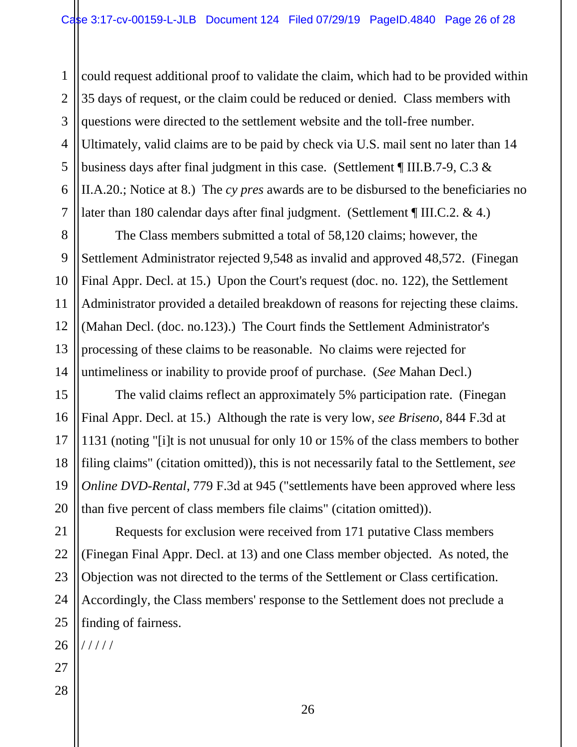1 2 3 4 5 6 7 could request additional proof to validate the claim, which had to be provided within 35 days of request, or the claim could be reduced or denied. Class members with questions were directed to the settlement website and the toll-free number. Ultimately, valid claims are to be paid by check via U.S. mail sent no later than 14 business days after final judgment in this case. (Settlement ¶ III.B.7-9, C.3 & II.A.20.; Notice at 8.) The *cy pres* awards are to be disbursed to the beneficiaries no later than 180 calendar days after final judgment. (Settlement ¶ III.C.2. & 4.)

14 The Class members submitted a total of 58,120 claims; however, the Settlement Administrator rejected 9,548 as invalid and approved 48,572. (Finegan Final Appr. Decl. at 15.) Upon the Court's request (doc. no. 122), the Settlement Administrator provided a detailed breakdown of reasons for rejecting these claims. (Mahan Decl. (doc. no.123).) The Court finds the Settlement Administrator's processing of these claims to be reasonable. No claims were rejected for untimeliness or inability to provide proof of purchase. (*See* Mahan Decl.)

The valid claims reflect an approximately 5% participation rate. (Finegan Final Appr. Decl. at 15.) Although the rate is very low, *see Briseno,* 844 F.3d at 1131 (noting "[i]t is not unusual for only 10 or 15% of the class members to bother filing claims" (citation omitted)), this is not necessarily fatal to the Settlement, *see Online DVD-Rental, 779 F.3d at 945 ("settlements have been approved where less* than five percent of class members file claims" (citation omitted)).

21 22 23 24 25 Requests for exclusion were received from 171 putative Class members (Finegan Final Appr. Decl. at 13) and one Class member objected. As noted, the Objection was not directed to the terms of the Settlement or Class certification. Accordingly, the Class members' response to the Settlement does not preclude a finding of fairness.

26 / / / / /

27

8

9

10

11

12

13

15

16

17

18

19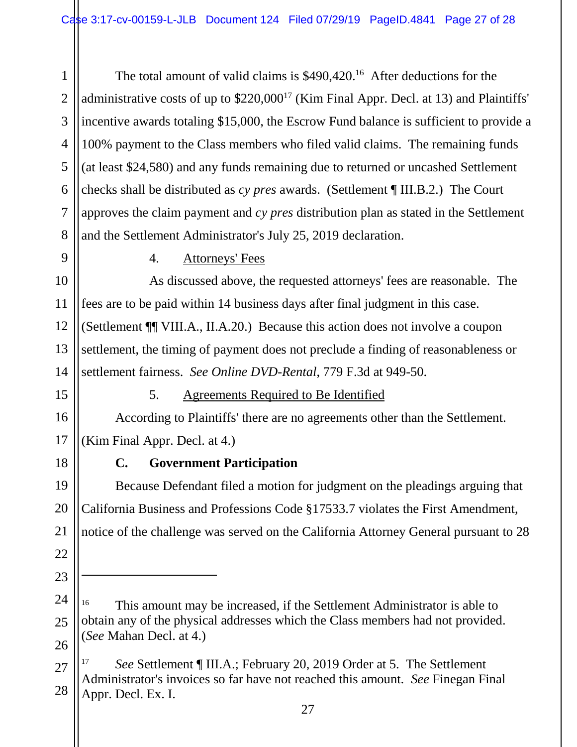1 2 3 4 5 6 7 8 The total amount of valid claims is \$490,420.<sup>16</sup> After deductions for the administrative costs of up to \$220,000<sup>17</sup> (Kim Final Appr. Decl. at 13) and Plaintiffs' incentive awards totaling \$15,000, the Escrow Fund balance is sufficient to provide a 100% payment to the Class members who filed valid claims. The remaining funds (at least \$24,580) and any funds remaining due to returned or uncashed Settlement checks shall be distributed as *cy pres* awards. (Settlement ¶ III.B.2.) The Court approves the claim payment and *cy pres* distribution plan as stated in the Settlement and the Settlement Administrator's July 25, 2019 declaration.

9 10

11

## 4. Attorneys' Fees

12 13 14 As discussed above, the requested attorneys' fees are reasonable. The fees are to be paid within 14 business days after final judgment in this case. (Settlement ¶¶ VIII.A., II.A.20.) Because this action does not involve a coupon settlement, the timing of payment does not preclude a finding of reasonableness or settlement fairness. *See Online DVD-Rental*, 779 F.3d at 949-50.

15

16

17

18

19

20

21

22

23

 $\ddot{\phantom{a}}$ 

## 5. Agreements Required to Be Identified

According to Plaintiffs' there are no agreements other than the Settlement. (Kim Final Appr. Decl. at 4.)

## **C. Government Participation**

Because Defendant filed a motion for judgment on the pleadings arguing that California Business and Professions Code §17533.7 violates the First Amendment, notice of the challenge was served on the California Attorney General pursuant to 28

<sup>24</sup> 25 26 <sup>16</sup> This amount may be increased, if the Settlement Administrator is able to obtain any of the physical addresses which the Class members had not provided. (*See* Mahan Decl. at 4.)

<sup>27</sup> 28 See Settlement ¶ III.A.; February 20, 2019 Order at 5. The Settlement Administrator's invoices so far have not reached this amount. *See* Finegan Final Appr. Decl. Ex. I.